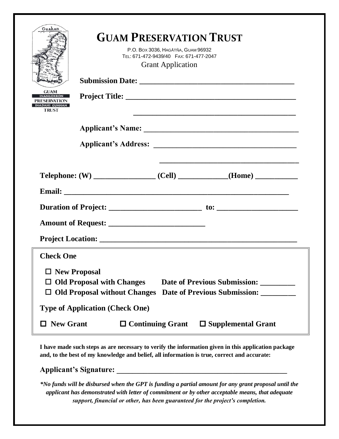| Guahan<br><b>GUAM</b><br><b>VANGOKKON</b><br>PRESERVATION<br><b>INADAHI GUAHAN</b><br><b>TRUST</b>                                                                                    | <b>GUAM PRESERVATION TRUST</b><br>P.O. Box 3036, HAGÅTÑA, GUAM 96932<br>TEL: 671-472-9439/40  FAX: 671-477-2047<br><b>Grant Application</b> |                         |                                                                                                                       |
|---------------------------------------------------------------------------------------------------------------------------------------------------------------------------------------|---------------------------------------------------------------------------------------------------------------------------------------------|-------------------------|-----------------------------------------------------------------------------------------------------------------------|
|                                                                                                                                                                                       |                                                                                                                                             |                         |                                                                                                                       |
|                                                                                                                                                                                       |                                                                                                                                             |                         |                                                                                                                       |
|                                                                                                                                                                                       |                                                                                                                                             |                         | <u> 1989 - Johann Stoff, deutscher Stoff, der Stoff, der Stoff, der Stoff, der Stoff, der Stoff, der Stoff, der S</u> |
|                                                                                                                                                                                       |                                                                                                                                             |                         |                                                                                                                       |
|                                                                                                                                                                                       |                                                                                                                                             |                         |                                                                                                                       |
|                                                                                                                                                                                       |                                                                                                                                             |                         |                                                                                                                       |
| <b>Check One</b>                                                                                                                                                                      |                                                                                                                                             |                         |                                                                                                                       |
| $\Box$ New Proposal<br><b>Old Proposal with Changes</b><br>Date of Previous Submission: ________<br><b>Old Proposal without Changes</b><br>Date of Previous Submission: ________<br>0 |                                                                                                                                             |                         |                                                                                                                       |
| <b>Type of Application (Check One)</b>                                                                                                                                                |                                                                                                                                             |                         |                                                                                                                       |
| <b>New Grant</b>                                                                                                                                                                      |                                                                                                                                             | $\Box$ Continuing Grant | $\square$ Supplemental Grant                                                                                          |

**I have made such steps as are necessary to verify the information given in this application package and, to the best of my knowledge and belief, all information is true, correct and accurate:**

**Applicant's Signature: \_\_\_\_\_\_\_\_\_\_\_\_\_\_\_\_\_\_\_\_\_\_\_\_\_\_\_\_\_\_\_\_\_\_\_\_\_\_\_\_\_\_\_\_**

*\*No funds will be disbursed when the GPT is funding a partial amount for any grant proposal until the applicant has demonstrated with letter of commitment or by other acceptable means, that adequate support, financial or other, has been guaranteed for the project's completion.*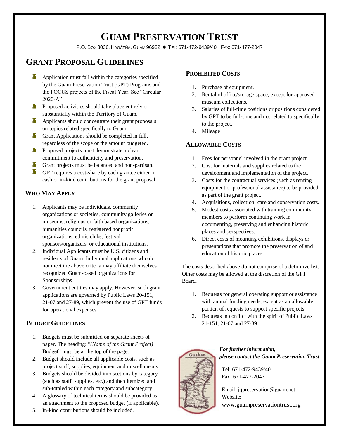# **GUAM PRESERVATION TRUST**

P.O. BOX 3036, HAGÅTÑA, GUAM 96932 ● TEL: 671-472-9439/40 FAX: 671-477-2047

# **GRANT PROPOSAL GUIDELINES**

- **Application must fall within the categories specified** by the Guam Preservation Trust (GPT) Programs and the FOCUS projects of the Fiscal Year. See "Circular  $2020-A$ "
- **Proposed activities should take place entirely or** substantially within the Territory of Guam.
- Applicants should concentrate their grant proposals on topics related specifically to Guam.
- **Grant Applications should be completed in full,** regardless of the scope or the amount budgeted.
- **Proposed projects must demonstrate a clear** commitment to authenticity and preservation.
- **T** Grant projects must be balanced and non-partisan.
- **GPT** requires a cost-share by each grantee either in cash or in-kind contributions for the grant proposal.

# **WHO MAY APPLY**

- 1. Applicants may be individuals, community organizations or societies, community galleries or museums, religious or faith based organizations, humanities councils, registered nonprofit organizations, ethnic clubs, festival sponsors/organizers, or educational institutions.
- 2. Individual Applicants must be U.S. citizens and residents of Guam. Individual applications who do not meet the above criteria may affiliate themselves recognized Guam-based organizations for Sponsorships.
- 3. Government entities may apply. However, such grant applications are governed by Public Laws 20-151, 21-07 and 27-89, which prevent the use of GPT funds for operational expenses.

# **BUDGET GUIDELINES**

- 1. Budgets must be submitted on separate sheets of paper. The heading: "*(Name of the Grant Project)*  Budget" must be at the top of the page.
- 2. Budget should include all applicable costs, such as project staff, supplies, equipment and miscellaneous.
- 3. Budgets should be divided into sections by category (such as staff, supplies, etc.) and then itemized and sub-totaled within each category and subcategory.
- 4. A glossary of technical terms should be provided as an attachment to the proposed budget (if applicable).
- 5. In-kind contributions should be included.

# **PROHIBITED COSTS**

- 1. Purchase of equipment.
- 2. Rental of office/storage space, except for approved museum collections.
- 3. Salaries of full-time positions or positions considered by GPT to be full-time and not related to specifically to the project.
- 4. Mileage

# **ALLOWABLE COSTS**

- 1. Fees for personnel involved in the grant project.
- 2. Cost for materials and supplies related to the development and implementation of the project.
- 3. Costs for the contractual services (such as renting equipment or professional assistance) to be provided as part of the grant project.
- 4. Acquisitions, collection, care and conservation costs.
- 5. Modest costs associated with training community members to perform continuing work in documenting, preserving and enhancing historic places and perspectives.
- 6. Direct costs of mounting exhibitions, displays or presentations that promote the preservation of and education of historic places.

The costs described above do not comprise of a definitive list. Other costs may be allowed at the discretion of the GPT Board.

- 1. Requests for general operating support or assistance with annual funding needs, except as an allowable portion of requests to support specific projects.
- 2. Requests in conflict with the spirit of Public Laws 21-151, 21-07 and 27-89.



 *For further information, please contact the Guam Preservation Trust*

Tel: 671-472-9439/40 Fax: 671-477-2047

Email: jqpreservation@guam.net Website: www.guampreservationtrust.org